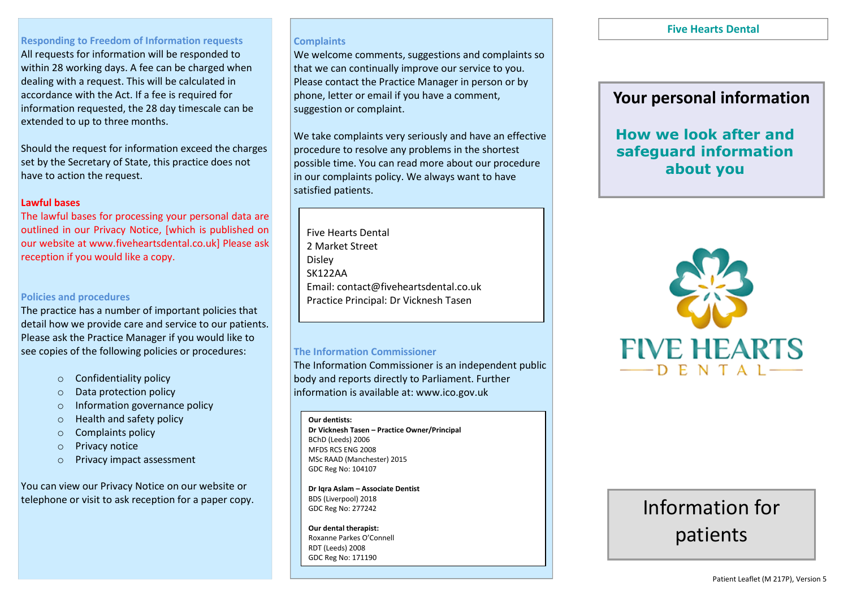## **Responding to Freedom of Information requests**

All requests for information will be responded to within 28 working days. A fee can be charged when dealing with a request. This will be calculated in accordance with the Act. If a fee is required for information requested, the 28 day timescale can be extended to up to three months.

Should the request for information exceed the charges set by the Secretary of State, this practice does not have to action the request.

### **Lawful bases**

The lawful bases for processing your personal data are outlined in our Privacy Notice, [which is published on our website at www.fiveheartsdental.co.uk] Please ask reception if you would like a copy.

### **Policies and procedures**

The practice has a number of important policies that detail how we provide care and service to our patients. Please ask the Practice Manager if you would like to see copies of the following policies or procedures:

- o Confidentiality policy
- o Data protection policy
- o Information governance policy
- o Health and safety policy
- o Complaints policy
- o Privacy notice
- o Privacy impact assessment

You can view our Privacy Notice on our website or telephone or visit to ask reception for a paper copy.

### **Complaints**

We welcome comments, suggestions and complaints so that we can continually improve our service to you. Please contact the Practice Manager in person or by phone, letter or email if you have a comment, suggestion or complaint.

We take complaints very seriously and have an effective procedure to resolve any problems in the shortest possible time. You can read more about our procedure in our complaints policy. We always want to have satisfied patients.

Five Hearts Dental 2 Market Street Disley SK122AA Email: contact@fiveheartsdental.co.uk Practice Principal: Dr Vicknesh Tasen

### **The Information Commissioner**

The Information Commissioner is an independent public body and reports directly to Parliament. Further information is available at: www.ico.gov.uk

#### **Our dentists:**

**Dr Vicknesh Tasen – Practice Owner/Principal** BChD (Leeds) 2006 MFDS RCS ENG 2008 MSc RAAD (Manchester) 2015 GDC Reg No: 104107

**Dr Iqra Aslam – Associate Dentist** BDS (Liverpool) 2018 GDC Reg No: 277242

**Our dental therapist:** Roxanne Parkes O'Connell RDT (Leeds) 2008 GDC Reg No: 171190

### **Five Hearts Dental**

# **Your personal information**

# **How we look after and safeguard information about you**



# Information for patients